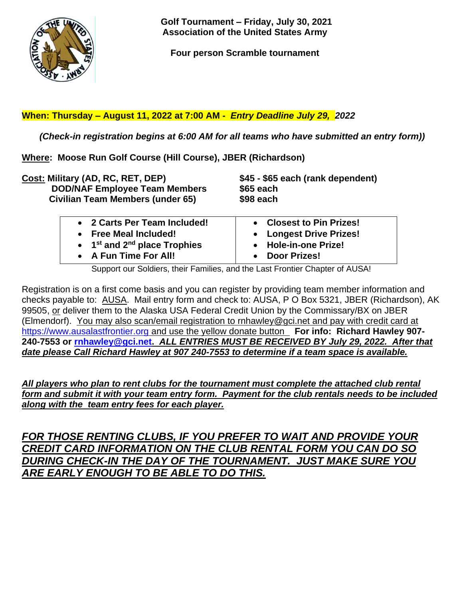

 **Golf Tournament – Friday, July 30, 2021 Association of the United States Army**

**Four person Scramble tournament**

## **When: Thursday – August 11, 2022 at 7:00 AM -** *Entry Deadline July 29, 2022*

 *(Check-in registration begins at 6:00 AM for all teams who have submitted an entry form))*

**Where: Moose Run Golf Course (Hill Course), JBER (Richardson)**

| Cost: Military (AD, RC, RET, DEP)                                                                                                              | \$45 - \$65 each (rank dependent)                                                                               |  |  |
|------------------------------------------------------------------------------------------------------------------------------------------------|-----------------------------------------------------------------------------------------------------------------|--|--|
| <b>DOD/NAF Employee Team Members</b>                                                                                                           | \$65 each                                                                                                       |  |  |
| <b>Civilian Team Members (under 65)</b>                                                                                                        | \$98 each                                                                                                       |  |  |
| • 2 Carts Per Team Included!<br>• Free Meal Included!<br>$\bullet$ 1 <sup>st</sup> and 2 <sup>nd</sup> place Trophies<br>• A Fun Time For All! | • Closest to Pin Prizes!<br>• Longest Drive Prizes!<br>• Hole-in-one Prize!<br><b>Door Prizes!</b><br>$\bullet$ |  |  |

Support our Soldiers, their Families, and the Last Frontier Chapter of AUSA!

Registration is on a first come basis and you can register by providing team member information and checks payable to: AUSA. Mail entry form and check to: AUSA, P O Box 5321, JBER (Richardson), AK 99505, or deliver them to the Alaska USA Federal Credit Union by the Commissary/BX on JBER (Elmendorf). You may also scan/email registration to rnhawley@gci.net and pay with credit card at [https://www.ausalastfrontier.org](https://www.ausalastfrontier.org/) and use the yellow donate button **For info: Richard Hawley 907- 240-7553 or [rnhawley@gci.net.](mailto:rnhawley@gci.net)** *ALL ENTRIES MUST BE RECEIVED BY July 29, 2022. After that date please Call Richard Hawley at 907 240-7553 to determine if a team space is available.*

*All players who plan to rent clubs for the tournament must complete the attached club rental form and submit it with your team entry form. Payment for the club rentals needs to be included along with the team entry fees for each player.*

*FOR THOSE RENTING CLUBS, IF YOU PREFER TO WAIT AND PROVIDE YOUR CREDIT CARD INFORMATION ON THE CLUB RENTAL FORM YOU CAN DO SO DURING CHECK-IN THE DAY OF THE TOURNAMENT. JUST MAKE SURE YOU ARE EARLY ENOUGH TO BE ABLE TO DO THIS.*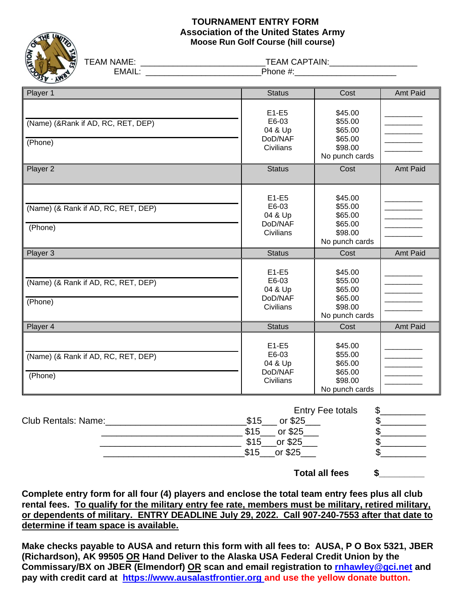## **TOURNAMENT ENTRY FORM Association of the United States Army Moose Run Golf Course (hill course)**



TEAM NAME: \_\_\_\_\_\_\_\_\_\_\_\_\_\_\_\_\_\_\_\_\_\_\_\_\_\_\_\_\_\_\_\_\_TEAM CAPTAIN:\_\_\_\_\_\_\_\_\_\_\_\_\_\_\_\_\_\_\_\_\_\_\_

EMAIL: \_\_\_\_\_\_\_\_\_\_\_\_\_\_\_\_\_\_\_\_\_\_\_\_\_\_\_\_\_\_\_\_\_Phone #:\_\_\_\_\_\_\_\_\_\_\_\_\_\_\_\_\_\_\_\_\_\_\_\_\_\_\_\_\_\_\_\_

| Player 1                                       | <b>Status</b>                                               | Cost                                                                  | Amt Paid |
|------------------------------------------------|-------------------------------------------------------------|-----------------------------------------------------------------------|----------|
| (Name) (&Rank if AD, RC, RET, DEP)<br>(Phone)  | $E1-E5$<br>E6-03<br>04 & Up<br>DoD/NAF<br>Civilians         | \$45.00<br>\$55.00<br>\$65.00<br>\$65.00<br>\$98.00<br>No punch cards |          |
| Player 2                                       | <b>Status</b>                                               | Cost                                                                  | Amt Paid |
| (Name) (& Rank if AD, RC, RET, DEP)<br>(Phone) | $E1-E5$<br>E6-03<br>04 & Up<br>DoD/NAF<br>Civilians         | \$45.00<br>\$55.00<br>\$65.00<br>\$65.00<br>\$98.00<br>No punch cards |          |
| Player 3                                       | <b>Status</b>                                               | Cost                                                                  | Amt Paid |
| (Name) (& Rank if AD, RC, RET, DEP)<br>(Phone) | $E1-E5$<br>E6-03<br>04 & Up<br>DoD/NAF<br>Civilians         | \$45.00<br>\$55.00<br>\$65.00<br>\$65.00<br>\$98.00<br>No punch cards |          |
| Player 4                                       | <b>Status</b>                                               | Cost                                                                  | Amt Paid |
| (Name) (& Rank if AD, RC, RET, DEP)<br>(Phone) | $E1-E5$<br>E6-03<br>04 & Up<br>DoD/NAF<br>Civilians         | \$45.00<br>\$55.00<br>\$65.00<br>\$65.00<br>\$98.00<br>No punch cards |          |
| Club Rentals: Name:                            | $$15$ <sub>____</sub> or \$25<br>$Q$ $4E$<br>$\sim$ $\circ$ | \$<br><b>Entry Fee totals</b><br>\$.<br>¢                             |          |

 \_\_\_\_\_\_\_\_\_\_\_\_\_\_\_\_\_\_\_\_\_\_\_\_\_\_\_\_ \$15\_\_\_ or \$25\_\_\_ \$\_\_\_\_\_\_\_\_\_  $\frac{\$15\_\_0\$25\_\_0\$315\_\_0\$25\_\_0\$315\_\_0\$25\_\_0\$3$  $\overline{\$15}$  or \$25 **Total all fees \$\_\_\_\_\_\_\_\_\_**

**Complete entry form for all four (4) players and enclose the total team entry fees plus all club rental fees. To qualify for the military entry fee rate, members must be military, retired military, or dependents of military. ENTRY DEADLINE July 29, 2022. Call 907-240-7553 after that date to determine if team space is available.**

**Make checks payable to AUSA and return this form with all fees to: AUSA, P O Box 5321, JBER (Richardson), AK 99505 OR Hand Deliver to the Alaska USA Federal Credit Union by the Commissary/BX on JBER (Elmendorf) OR scan and email registration to [rnhawley@gci.net](mailto:rnhawley@gci.net) and pay with credit card at [https://www.ausalastfrontier.org](https://www.ausalastfrontier.org/) and use the yellow donate button.**